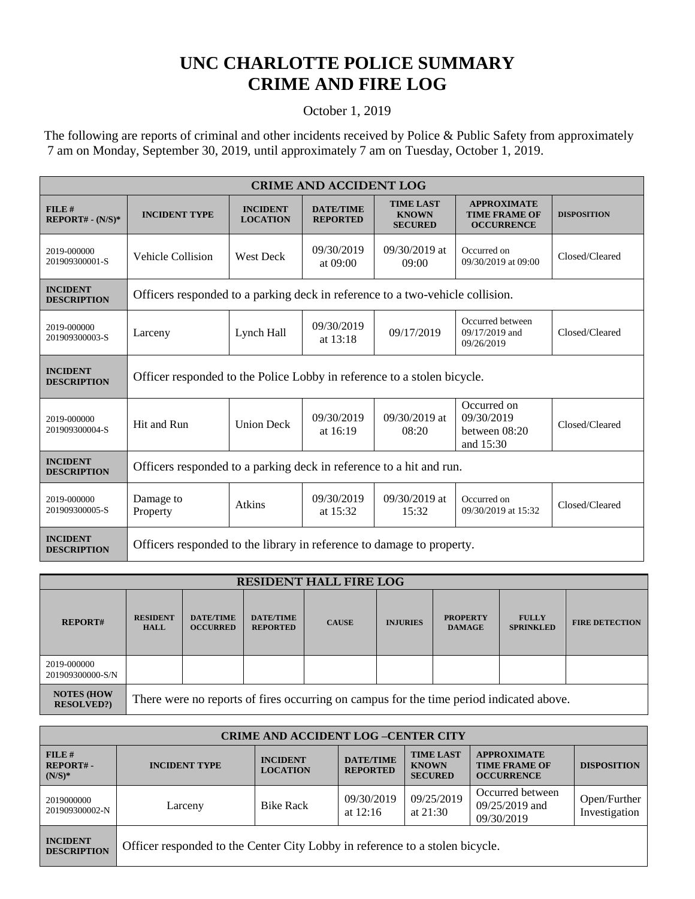## **UNC CHARLOTTE POLICE SUMMARY CRIME AND FIRE LOG**

## October 1, 2019

 The following are reports of criminal and other incidents received by Police & Public Safety from approximately 7 am on Monday, September 30, 2019, until approximately 7 am on Tuesday, October 1, 2019.

| <b>CRIME AND ACCIDENT LOG</b>         |                                                                               |                                    |                                     |                                                    |                                                                 |                    |  |
|---------------------------------------|-------------------------------------------------------------------------------|------------------------------------|-------------------------------------|----------------------------------------------------|-----------------------------------------------------------------|--------------------|--|
| FILE#<br>$REPORT# - (N/S)*$           | <b>INCIDENT TYPE</b>                                                          | <b>INCIDENT</b><br><b>LOCATION</b> | <b>DATE/TIME</b><br><b>REPORTED</b> | <b>TIME LAST</b><br><b>KNOWN</b><br><b>SECURED</b> | <b>APPROXIMATE</b><br><b>TIME FRAME OF</b><br><b>OCCURRENCE</b> | <b>DISPOSITION</b> |  |
| 2019-000000<br>201909300001-S         | Vehicle Collision                                                             | <b>West Deck</b>                   | 09/30/2019<br>at $09:00$            | $09/30/2019$ at<br>09:00                           | Occurred on<br>09/30/2019 at 09:00                              | Closed/Cleared     |  |
| <b>INCIDENT</b><br><b>DESCRIPTION</b> | Officers responded to a parking deck in reference to a two-vehicle collision. |                                    |                                     |                                                    |                                                                 |                    |  |
| 2019-000000<br>201909300003-S         | Larceny                                                                       | Lynch Hall                         | 09/30/2019<br>at $13:18$            | 09/17/2019                                         | Occurred between<br>09/17/2019 and<br>09/26/2019                | Closed/Cleared     |  |
| <b>INCIDENT</b><br><b>DESCRIPTION</b> | Officer responded to the Police Lobby in reference to a stolen bicycle.       |                                    |                                     |                                                    |                                                                 |                    |  |
| 2019-000000<br>201909300004-S         | Hit and Run                                                                   | <b>Union Deck</b>                  | 09/30/2019<br>at $16:19$            | $09/30/2019$ at<br>08:20                           | Occurred on<br>09/30/2019<br>between $08:20$<br>and 15:30       | Closed/Cleared     |  |
| <b>INCIDENT</b><br><b>DESCRIPTION</b> | Officers responded to a parking deck in reference to a hit and run.           |                                    |                                     |                                                    |                                                                 |                    |  |
| 2019-000000<br>201909300005-S         | Damage to<br>Property                                                         | <b>Atkins</b>                      | 09/30/2019<br>at 15:32              | 09/30/2019 at<br>15:32                             | Occurred on<br>09/30/2019 at 15:32                              | Closed/Cleared     |  |
| <b>INCIDENT</b><br><b>DESCRIPTION</b> | Officers responded to the library in reference to damage to property.         |                                    |                                     |                                                    |                                                                 |                    |  |

| <b>RESIDENT HALL FIRE LOG</b>         |                                                                                         |                                     |                                     |              |                 |                                  |                                  |                       |
|---------------------------------------|-----------------------------------------------------------------------------------------|-------------------------------------|-------------------------------------|--------------|-----------------|----------------------------------|----------------------------------|-----------------------|
| <b>REPORT#</b>                        | <b>RESIDENT</b><br><b>HALL</b>                                                          | <b>DATE/TIME</b><br><b>OCCURRED</b> | <b>DATE/TIME</b><br><b>REPORTED</b> | <b>CAUSE</b> | <b>INJURIES</b> | <b>PROPERTY</b><br><b>DAMAGE</b> | <b>FULLY</b><br><b>SPRINKLED</b> | <b>FIRE DETECTION</b> |
| 2019-000000<br>201909300000-S/N       |                                                                                         |                                     |                                     |              |                 |                                  |                                  |                       |
| <b>NOTES (HOW</b><br><b>RESOLVED?</b> | There were no reports of fires occurring on campus for the time period indicated above. |                                     |                                     |              |                 |                                  |                                  |                       |

| <b>CRIME AND ACCIDENT LOG-CENTER CITY</b> |                                                                              |                                    |                                     |                                                    |                                                                 |                               |
|-------------------------------------------|------------------------------------------------------------------------------|------------------------------------|-------------------------------------|----------------------------------------------------|-----------------------------------------------------------------|-------------------------------|
| FILE#<br><b>REPORT#-</b><br>$(N/S)*$      | <b>INCIDENT TYPE</b>                                                         | <b>INCIDENT</b><br><b>LOCATION</b> | <b>DATE/TIME</b><br><b>REPORTED</b> | <b>TIME LAST</b><br><b>KNOWN</b><br><b>SECURED</b> | <b>APPROXIMATE</b><br><b>TIME FRAME OF</b><br><b>OCCURRENCE</b> | <b>DISPOSITION</b>            |
| 2019000000<br>201909300002-N              | Larceny                                                                      | <b>Bike Rack</b>                   | 09/30/2019<br>at $12:16$            | 09/25/2019<br>at $21:30$                           | Occurred between<br>$09/25/2019$ and<br>09/30/2019              | Open/Further<br>Investigation |
| <b>INCIDENT</b><br><b>DESCRIPTION</b>     | Officer responded to the Center City Lobby in reference to a stolen bicycle. |                                    |                                     |                                                    |                                                                 |                               |